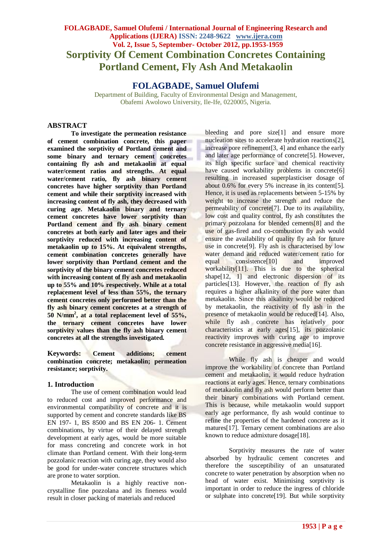# **FOLAGBADE, Samuel Olufemi / International Journal of Engineering Research and Applications (IJERA) ISSN: 2248-9622 www.ijera.com Vol. 2, Issue 5, September- October 2012, pp.1953-1959 Sorptivity Of Cement Combination Concretes Containing Portland Cement, Fly Ash And Metakaolin**

**FOLAGBADE, Samuel Olufemi**

Department of Building, Faculty of Environmental Design and Management, Obafemi Awolowo University, Ile-Ife, 0220005, Nigeria.

#### **ABSTRACT**

**To investigate the permeation resistance of cement combination concrete, this paper examined the sorptivity of Portland cement and some binary and ternary cement concretes containing fly ash and metakaolin at equal water/cement ratios and strengths. At equal water/cement ratio, fly ash binary cement concretes have higher sorptivity than Portland cement and while their sorptivity increased with increasing content of fly ash, they decreased with curing age. Metakaolin binary and ternary cement concretes have lower sorptivity than Portland cement and fly ash binary cement concretes at both early and later ages and their sorptivity reduced with increasing content of metakaolin up to 15%. At equivalent strengths, cement combination concretes generally have lower sorptivity than Portland cement and the sorptivity of the binary cement concretes reduced with increasing content of fly ash and metakaolin up to 55% and 10% respectively. While at a total replacement level of less than 55%, the ternary cement concretes only performed better than the fly ash binary cement concretes at a strength of 50 N/mm<sup>2</sup> , at a total replacement level of 55%, the ternary cement concretes have lower sorptivity values than the fly ash binary cement concretes at all the strengths investigated.**

**Keywords: Cement additions; cement combination concrete; metakaolin; permeation resistance; sorptivity.**

#### **1. Introduction**

The use of cement combination would lead to reduced cost and improved performance and environmental compatibility of concrete and it is supported by cement and concrete standards like BS EN 197- 1, BS 8500 and BS EN 206- 1. Cement combinations, by virtue of their delayed strength development at early ages, would be more suitable for mass concreting and concrete work in hot climate than Portland cement. With their long-term pozzolanic reaction with curing age, they would also be good for under-water concrete structures which are prone to water sorption.

Metakaolin is a highly reactive noncrystalline fine pozzolana and its fineness would result in closer packing of materials and reduced

bleeding and pore size[1] and ensure more nucleation sites to accelerate hydration reactions[2], increase pore refinement[3, 4] and enhance the early and later age performance of concrete[5]. However, its high specific surface and chemical reactivity have caused workability problems in concrete[6] resulting in increased superplasticiser dosage of about 0.6% for every 5% increase in its content[5]. Hence, it is used as replacements between 5-15% by weight to increase the strength and reduce the permeability of concrete[7]. Due to its availability, low cost and quality control, fly ash constitutes the primary pozzolana for blended cements[8] and the use of gas-fired and co-combustion fly ash would ensure the availability of quality fly ash for future use in concrete<sup>[9]</sup>. Fly ash is characterised by low water demand and reduced water/cement ratio for equal consistence[10] and improved workability[11]. This is due to the spherical shape<sup>[12, 1]</sup> and electronic dispersion of its particles[13]. However, the reaction of fly ash requires a higher alkalinity of the pore water than metakaolin. Since this alkalinity would be reduced by metakaolin, the reactivity of fly ash in the presence of metakaolin would be reduced<sup>[14]</sup>. Also, while fly ash concrete has relatively poor characteristics at early ages[15], its pozzolanic reactivity improves with curing age to improve concrete resistance in aggressive media[16].

While fly ash is cheaper and would improve the workability of concrete than Portland cement and metakaolin, it would reduce hydration reactions at early ages. Hence, ternary combinations of metakaolin and fly ash would perform better than their binary combinations with Portland cement. This is because, while metakaolin would support early age performance, fly ash would continue to refine the properties of the hardened concrete as it matures[17]. Ternary cement combinations are also known to reduce admixture dosage[18].

Sorptivity measures the rate of water absorbed by hydraulic cement concretes and therefore the susceptibility of an unsaturated concrete to water penetration by absorption when no head of water exist. Minimising sorptivity is important in order to reduce the ingress of chloride or sulphate into concrete[19]. But while sorptivity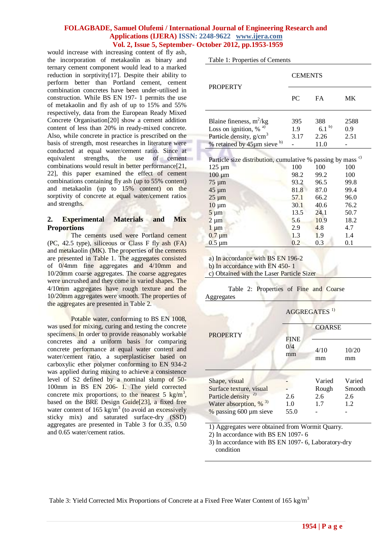would increase with increasing content of fly ash, the incorporation of metakaolin as binary and ternary cement component would lead to a marked reduction in sorptivity[17]. Despite their ability to perform better than Portland cement, cement combination concretes have been under-utilised in construction. While BS EN 197- 1 permits the use of metakaolin and fly ash of up to 15% and 55% respectively, data from the European Ready Mixed Concrete Organisation[20] show a cement addition content of less than 20% in ready-mixed concrete. Also, while concrete in practice is prescribed on the basis of strength, most researches in literature were conducted at equal water/cement ratio. Since at equivalent strengths, the use of cement combinations would result in better performance[21, 22], this paper examined the effect of cement combinations containing fly ash (up to 55% content) and metakaolin (up to 15% content) on the sorptivity of concrete at equal water/cement ratios and strengths.

## **2. Experimental Materials and Mix Proportions**

The cements used were Portland cement (PC, 42.5 type), siliceous or Class F fly ash (FA) and metakaolin (MK). The properties of the cements are presented in Table 1. The aggregates consisted of 0/4mm fine aggregates and 4/10mm and 10/20mm coarse aggregates. The coarse aggregates were uncrushed and they come in varied shapes. The 4/10mm aggregates have rough texture and the 10/20mm aggregates were smooth. The properties of the aggregates are presented in Table 2.

Potable water, conforming to BS EN 1008, was used for mixing, curing and testing the concrete specimens. In order to provide reasonably workable concretes and a uniform basis for comparing concrete performance at equal water content and water/cement ratio, a superplasticiser based on carboxylic ether polymer conforming to EN 934-2 was applied during mixing to achieve a consistence level of S2 defined by a nominal slump of 50- 100mm in BS EN 206- 1. The yield corrected concrete mix proportions, to the nearest  $5 \text{ kg/m}^3$ , based on the BRE Design Guide[23], a fixed free water content of  $165 \text{ kg/m}^3$  (to avoid an excessively sticky mix) and saturated surface-dry (SSD) aggregates are presented in Table 3 for 0.35, 0.50 and 0.65 water/cement ratios.

Table 1: Properties of Cements

|                                                                                                                                                                                                                    | CEMENTS                                                                  |                                                                           |                                                                          |  |  |
|--------------------------------------------------------------------------------------------------------------------------------------------------------------------------------------------------------------------|--------------------------------------------------------------------------|---------------------------------------------------------------------------|--------------------------------------------------------------------------|--|--|
| <b>PROPERTY</b>                                                                                                                                                                                                    | PC                                                                       | FA.                                                                       | МK                                                                       |  |  |
| Blaine fineness, $m^2/kg$<br>Loss on ignition, %                                                                                                                                                                   | 395<br>1.9                                                               | 388<br>6.1 <sup>b)</sup>                                                  | 2588<br>0.9                                                              |  |  |
| Particle density, $g/cm3$                                                                                                                                                                                          | 3.17                                                                     | 2.26                                                                      | 2.51                                                                     |  |  |
| % retained by $45 \mu m$ sieve b)                                                                                                                                                                                  |                                                                          | 11.0                                                                      |                                                                          |  |  |
| Particle size distribution, cumulative % passing by mass <sup>c)</sup><br>$125 \mu m$<br>$100 \mu m$<br>$75 \mu m$<br>$45 \mu m$<br>$25 \mu m$<br>$10 \mu m$<br>$5 \mu m$<br>$2 \mu m$<br>$1 \mu m$<br>$0.7 \mu m$ | 100<br>98.2<br>93.2<br>81.8<br>57.1<br>30.1<br>13.5<br>5.6<br>2.9<br>1.3 | 100<br>99.2<br>96.5<br>87.0<br>66.2<br>40.6<br>24.1<br>10.9<br>4.8<br>1.9 | 100<br>100<br>99.8<br>99.4<br>96.0<br>76.2<br>50.7<br>18.2<br>4.7<br>1.4 |  |  |
| $0.5 \mu m$                                                                                                                                                                                                        | 0.2                                                                      | 0.3                                                                       | 0.1                                                                      |  |  |
|                                                                                                                                                                                                                    |                                                                          |                                                                           |                                                                          |  |  |

a) In accordance with BS EN 196-2

b) In accordance with EN 450- 1

c) Obtained with the Laser Particle Sizer

 Table 2: Properties of Fine and Coarse Aggregates

|                                      | AGGREGATES <sup>1)</sup> |            |               |  |  |
|--------------------------------------|--------------------------|------------|---------------|--|--|
| <b>PROPERTY</b>                      |                          |            | <b>COARSE</b> |  |  |
|                                      | <b>FINE</b><br>0/4<br>mm | 4/10<br>mm | 10/20<br>mm   |  |  |
| Shape, visual                        |                          | Varied     | Varied        |  |  |
| Surface texture, visual              |                          | Rough      | Smooth        |  |  |
| Particle density                     | 2.6                      | 2.6        | 2.6           |  |  |
| Water absorption, $\%$ <sup>3)</sup> | 1.0                      | 1.7        | 1.2           |  |  |
| % passing 600 µm sieve               | 55.0                     |            |               |  |  |
|                                      |                          |            |               |  |  |

1) Aggregates were obtained from Wormit Quarry.

2) In accordance with BS EN 1097- 6

3) In accordance with BS EN 1097- 6, Laboratory-dry condition

Table 3: Yield Corrected Mix Proportions of Concrete at a Fixed Free Water Content of 165 kg/m<sup>3</sup>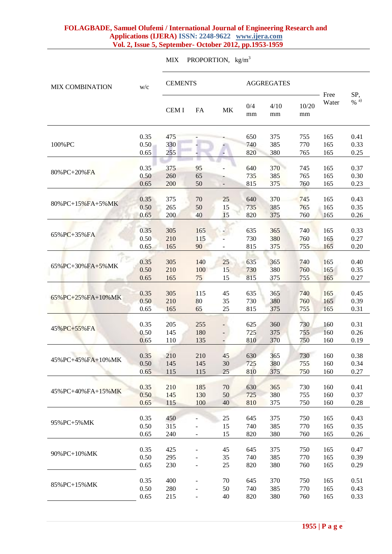MIX PROPORTION,  $kg/m<sup>3</sup>$ 

| <b>MIX COMBINATION</b>  | W/C          | <b>CEMENTS</b> |                          | <b>AGGREGATES</b> |            |            |             |               |                |
|-------------------------|--------------|----------------|--------------------------|-------------------|------------|------------|-------------|---------------|----------------|
|                         |              | <b>CEMI</b>    | FA                       | MK                | 0/4<br>mm  | 4/10<br>mm | 10/20<br>mm | Free<br>Water | SP,<br>$\%$ a) |
|                         | 0.35         | 475            |                          |                   | 650        | 375        | 755         | 165           | 0.41           |
| 100%PC                  | 0.50         | 330            |                          |                   | 740        | 385        | 770         | 165           | 0.33           |
|                         | 0.65         | 255            |                          |                   | 820        | 380        | 765         | 165           | 0.25           |
|                         | 0.35         | 375            | 95                       |                   | 640        | 370        | 745         | 165           | 0.37           |
| 80%PC+20%FA             | 0.50         | 260            | 65                       |                   | 735        | 385        | 765         | 165           | 0.30           |
|                         | 0.65         | 200            | 50                       |                   | 815        | 375        | 760         | 165           | 0.23           |
|                         |              |                |                          |                   |            |            |             |               |                |
| 80%PC+15%FA+5%MK        | 0.35<br>0.50 | 375            | 70                       | 25                | 640        | 370        | 745         | 165           | 0.43           |
|                         | 0.65         | 265<br>200     | 50<br>40                 | 15<br>15          | 735<br>820 | 385<br>375 | 765<br>760  | 165<br>165    | 0.35<br>0.26   |
|                         |              |                |                          |                   |            |            |             |               |                |
|                         | 0.35         | 305            | 165                      |                   | 635        | 365        | 740         | 165           | 0.33           |
| $65\%$ PC+35% FA        | 0.50         | 210            | 115                      |                   | 730        | 380        | 760         | 165           | 0.27           |
|                         | 0.65         | 165            | 90                       |                   | 815        | 375        | 755         | 165           | 0.20           |
|                         |              |                |                          |                   |            |            |             |               |                |
| 65%PC+30%FA+5%MK        | 0.35         | 305            | 140                      | 25                | 635        | 365        | 740         | 165           | 0.40           |
|                         | 0.50         | 210            | 100                      | 15                | 730        | 380        | 760         | 165           | 0.35           |
|                         | 0.65         | 165            | 75                       | 15                | 815        | 375        | 755         | 165           | 0.27           |
|                         | 0.35         | 305            | 115                      | 45                | 635        | 365        | 740         | 165           | 0.45           |
| $65\%$ PC+25% FA+10% MK | 0.50         | 210            | 80                       | 35                | 730        | 380        | 760         | 165           | 0.39           |
|                         | 0.65         | 165            | 65                       | 25                | 815        | 375        | 755         | 165           | 0.31           |
|                         |              |                |                          |                   |            |            |             |               |                |
| 45% PC+55% FA           | 0.35         | 205            | 255                      |                   | 625        | 360        | 730         | 160           | 0.31           |
|                         | 0.50         | 145            | 180                      |                   | 725        | 375        | 755         | 160           | 0.26           |
|                         | 0.65         | 110            | 135                      |                   | 810        | 370        | 750         | 160           | 0.19           |
| 45%PC+45%FA+10%MK       | 0.35         | 210            | 210                      | 45                | 630        | 365        | 730         | 160           | 0.38           |
|                         | 0.50         | 145            | 145                      | 30                | 725        | 380        | 755         | 160           | 0.34           |
|                         | 0.65         | 115            | 115                      | 25                | 810        | 375        | 750         | 160           | 0.27           |
|                         |              |                |                          |                   |            |            |             |               |                |
| 45%PC+40%FA+15%MK       | 0.35         | 210            | 185                      | 70                | 630        | 365        | 730         | 160           | 0.41           |
|                         | 0.50         | 145            | 130                      | 50                | 725        | 380        | 755         | 160           | 0.37           |
|                         | 0.65         | 115            | 100                      | 40                | 810        | 375        | 750         | 160           | 0.28           |
|                         | 0.35         | 450            |                          | 25                | 645        | 375        | 750         | 165           | 0.43           |
| 95%PC+5%MK              | 0.50         | 315            |                          | 15                | 740        | 385        | 770         | 165           | 0.35           |
|                         | 0.65         | 240            |                          | 15                | 820        | 380        | 760         | 165           | 0.26           |
|                         |              |                |                          |                   |            |            |             |               |                |
| 90%PC+10%MK             | 0.35         | 425            |                          | 45                | 645        | 375        | 750         | 165           | 0.47           |
|                         | 0.50         | 295            |                          | 35                | 740        | 385        | 770         | 165           | 0.39           |
|                         | 0.65         | 230            |                          | 25                | 820        | 380        | 760         | 165           | 0.29           |
|                         | 0.35         | 400            |                          |                   |            | 370        | 750         |               | 0.51           |
| 85%PC+15%MK             | 0.50         | 280            |                          | 70<br>50          | 645<br>740 | 385        | 770         | 165<br>165    | 0.43           |
|                         | 0.65         | 215            | $\overline{\phantom{0}}$ | 40                | 820        | 380        | 760         | 165           | 0.33           |
|                         |              |                |                          |                   |            |            |             |               |                |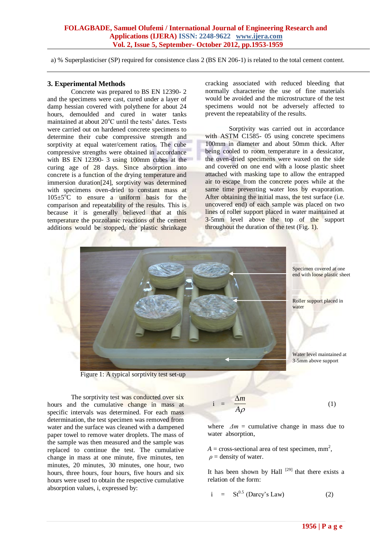a) % Superplasticiser (SP) required for consistence class 2 (BS EN 206-1) is related to the total cement content.

#### **3. Experimental Methods**

Concrete was prepared to BS EN 12390- 2 and the specimens were cast, cured under a layer of damp hessian covered with polythene for about 24 hours, demoulded and cured in water tanks maintained at about  $20^{\circ}$ C until the tests' dates. Tests were carried out on hardened concrete specimens to determine their cube compressive strength and sorptivity at equal water/cement ratios. The cube compressive strengths were obtained in accordance with BS EN 12390- 3 using 100mm cubes at the curing age of 28 days. Since absorption into concrete is a function of the drying temperature and immersion duration[24], sorptivity was determined with specimens oven-dried to constant mass at  $105\pm5\degree C$  to ensure a uniform basis for the comparison and repeatability of the results. This is because it is generally believed that at this temperature the pozzolanic reactions of the cement additions would be stopped, the plastic shrinkage

cracking associated with reduced bleeding that normally characterise the use of fine materials would be avoided and the microstructure of the test specimens would not be adversely affected to prevent the repeatability of the results.

Sorptivity was carried out in accordance with ASTM C1585- 05 using concrete specimens 100mm in diameter and about 50mm thick. After being cooled to room temperature in a dessicator, the oven-dried specimens were waxed on the side and covered on one end with a loose plastic sheet attached with masking tape to allow the entrapped air to escape from the concrete pores while at the same time preventing water loss by evaporation. After obtaining the initial mass, the test surface (i.e. uncovered end) of each sample was placed on two lines of roller support placed in water maintained at 3-5mm level above the top of the support throughout the duration of the test (Fig. 1).



 $\mathbf{i}$ 

Figure 1: A typical sorptivity test set-up

The sorptivity test was conducted over six hours and the cumulative change in mass at specific intervals was determined. For each mass determination, the test specimen was removed from water and the surface was cleaned with a dampened paper towel to remove water droplets. The mass of the sample was then measured and the sample was replaced to continue the test. The cumulative change in mass at one minute, five minutes, ten minutes, 20 minutes, 30 minutes, one hour, two hours, three hours, four hours, five hours and six hours were used to obtain the respective cumulative absorption values, i, expressed by:

$$
= \frac{\Delta m}{A\rho} \tag{1}
$$

where  $\Delta m =$  cumulative change in mass due to water absorption,

 $A = \text{cross-sectional area of test specimen, mm}^2$ ,  $\rho$  = density of water.

It has been shown by Hall  $[29]$  that there exists a relation of the form:

$$
i = St^{0.5} \text{ (Darcy's Law)} \tag{2}
$$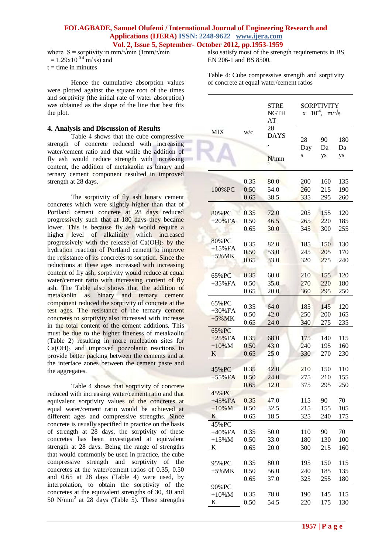where  $S =$  sorptivity in mm/ $\sqrt{min}$  (1mm/ $\sqrt{min}$ )  $= 1.29x10^{-0.4}$  m/ $\sqrt{s}$ ) and  $t =$  time in minutes

Hence the cumulative absorption values were plotted against the square root of the times and sorptivity (the initial rate of water absorption) was obtained as the slope of the line that best fits the plot.

#### **4. Analysis and Discussion of Results**

Table 4 shows that the cube compressive strength of concrete reduced with increasing water/cement ratio and that while the addition of fly ash would reduce strength with increasing content, the addition of metakaolin as binary and ternary cement component resulted in improved strength at 28 days.

The sorptivity of fly ash binary cement concretes which were slightly higher than that of Portland cement concrete at 28 days reduced progressively such that at 180 days they became lower. This is because fly ash would require a higher level of alkalinity which increased progressively with the release of  $Ca(OH)$ <sub>2</sub> by the hydration reaction of Portland cement to improve the resistance of its concretes to sorption. Since the reductions at these ages increased with increasing content of fly ash, sorptivity would reduce at equal water/cement ratio with increasing content of fly ash. The Table also shows that the addition of metakaolin as binary and ternary cement component reduced the sorptivity of concrete at the test ages. The resistance of the ternary cement concretes to sorptivity also increased with increase in the total content of the cement additions. This must be due to the higher fineness of metakaolin (Table 2) resulting in more nucleation sites for  $Ca(OH)<sub>2</sub>$  and improved pozzolanic reactions to provide better packing between the cements and at the interface zones between the cement paste and the aggregates.

Table 4 shows that sorptivity of concrete reduced with increasing water/cement ratio and that equivalent sorptivity values of the concretes at equal water/cement ratio would be achieved at different ages and compressive strengths. Since concrete is usually specified in practice on the basis of strength at 28 days, the sorptivity of these concretes has been investigated at equivalent strength at 28 days. Being the range of strengths that would commonly be used in practice, the cube compressive strength and sorptivity of the concretes at the water/cement ratios of 0.35, 0.50 and 0.65 at 28 days (Table 4) were used, by interpolation, to obtain the sorptivity of the concretes at the equivalent strengths of 30, 40 and 50 N/mm<sup>2</sup> at 28 days (Table 5). These strengths

also satisfy most of the strength requirements in BS EN 206-1 and BS 8500.

Table 4: Cube compressive strength and sorptivity of concrete at equal water/cement ratios

|                       |      | <b>STRE</b><br><b>NGTH</b><br>AT | X        | SORPTIVITY<br>$10^{-4}$ ,<br>$m/\sqrt{s}$ |          |
|-----------------------|------|----------------------------------|----------|-------------------------------------------|----------|
| <b>MIX</b>            | W/c  | 28<br><b>DAYS</b>                |          |                                           |          |
|                       |      |                                  | 28       | 90                                        | 180      |
|                       |      |                                  | Day<br>S | Da<br>ys                                  | Da<br>ys |
|                       |      | N/mm                             |          |                                           |          |
|                       | 0.35 | 80.0                             | 200      | 160                                       | 135      |
| 100%PC                | 0.50 | 54.0                             | 260      | 215                                       | 190      |
|                       | 0.65 | 38.5                             | 335      | 295                                       | 260      |
|                       |      |                                  |          |                                           |          |
| 80%PC                 | 0.35 | 72.0                             | 205      | 155                                       | 120      |
| $+20\%FA$             | 0.50 | 46.5                             | 265      | 220                                       | 185      |
|                       | 0.65 | 30.0                             | 345      | 300                                       | 255      |
| 80%PC                 | 0.35 | 82.0                             | 185      | 150                                       | 130      |
| $+15%FA$              | 0.50 | 53.0                             | 245      | 205                                       | 170      |
| $+5\%$ MK             | 0.65 | 33.0                             | 320      | 275                                       | 240      |
|                       |      |                                  |          |                                           |          |
| 65%PC                 | 0.35 | 60.0                             | 210      | 155                                       | 120      |
| $+35%FA$              | 0.50 | 35.0                             | 270      | 220                                       | 180      |
|                       | 0.65 | 20.0                             | 360      | 295                                       | 250      |
|                       |      |                                  |          |                                           |          |
| 65%PC<br>$+30\%FA$    | 0.35 | 64.0                             | 185      | 145                                       | 120      |
| $+5\%MK$              | 0.50 | 42.0                             | 250      | 200                                       | 165      |
|                       | 0.65 | 24.0                             | 340      | 275                                       | 235      |
| 65%PC                 |      |                                  |          |                                           |          |
| $+25%FA$              | 0.35 | 68.0                             | 175      | 140                                       | 115      |
| $+10\%$ M             | 0.50 | 43.0                             | 240      | 195                                       | 160      |
| K                     | 0.65 | 25.0                             | 330      | 270                                       | 230      |
|                       |      |                                  |          |                                           |          |
| 45%PC                 | 0.35 | 42.0                             | 210      | 150                                       | 110      |
| $+55\%FA$             | 0.50 | 24.0                             | 275      | 210                                       | 155      |
|                       | 0.65 | 12.0                             | 375      | 295                                       | 250      |
| 45% PC                | 0.35 | 47.0                             | 115      | 90                                        | 70       |
| $+45%FA$<br>$+10\%$ M | 0.50 | 32.5                             | 215      | 155                                       | 105      |
| K                     | 0.65 | 18.5                             | 325      | 240                                       | 175      |
| 45%PC                 |      |                                  |          |                                           |          |
| $+40\%FA$             | 0.35 | 50.0                             | 110      | 90                                        | 70       |
| $+15\%M$              | 0.50 | 33.0                             | 180      | 130                                       | 100      |
| K                     | 0.65 | 20.0                             | 300      | 215                                       | 160      |
|                       |      |                                  |          |                                           |          |
| 95%PC                 | 0.35 | 80.0                             | 195      | 150                                       | 115      |
| $+5\%MK$              | 0.50 | 56.0                             | 240      | 185                                       | 135      |
|                       | 0.65 | 37.0                             | 325      | 255                                       | 180      |
| 90%PC                 |      |                                  |          |                                           |          |
| $+10\%$ M             | 0.35 | 78.0                             | 190      | 145                                       | 115      |
| K                     | 0.50 | 54.5                             | 220      | 175                                       | 130      |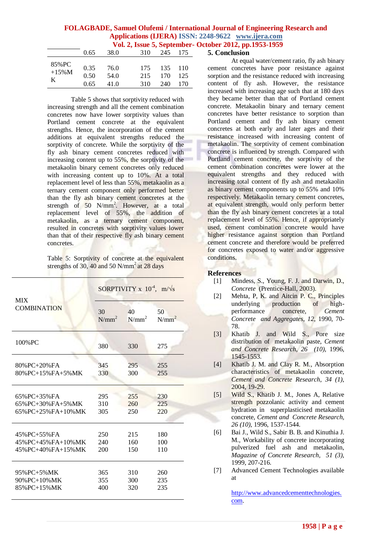|                         |                      |                      | $\mathbf{v}$ on $\mathbf{z}_i$ room $\mathbf{v}_i$ depictment |                       |            |
|-------------------------|----------------------|----------------------|---------------------------------------------------------------|-----------------------|------------|
|                         | 0.65                 | 38.0                 | 310                                                           | 245                   | - 175      |
| 85% PC<br>$+15\%M$<br>K | 0.35<br>0.50<br>0.65 | 76.0<br>54.0<br>41.0 | 175<br>215<br>310                                             | 135 110<br>170<br>240 | 125<br>170 |

Table 5 shows that sorptivity reduced with increasing strength and all the cement combination concretes now have lower sorptivity values than Portland cement concrete at the equivalent strengths. Hence, the incorporation of the cement additions at equivalent strengths reduced the sorptivity of concrete. While the sorptivity of the fly ash binary cement concretes reduced with increasing content up to 55%, the sorptivity of the metakaolin binary cement concretes only reduced with increasing content up to 10%. At a total replacement level of less than 55%, metakaolin as a ternary cement component only performed better than the fly ash binary cement concretes at the strength of 50 N/mm<sup>2</sup>. However, at a total replacement level of 55%, the addition of metakaolin, as a ternary cement component, resulted in concretes with sorptivity values lower than that of their respective fly ash binary cement concretes.

Table 5: Sorptivity of concrete at the equivalent strengths of 30, 40 and 50 N/mm<sup>2</sup> at 28 days

| <b>MIX</b>              | SORPTIVITY x $10^4$ , m/ $\sqrt{s}$ |          |          |  |
|-------------------------|-------------------------------------|----------|----------|--|
| <b>COMBINATION</b>      | 30                                  | 40       | 50       |  |
|                         | $N/mm^2$                            | $N/mm^2$ | $N/mm^2$ |  |
| 100% PC                 | 380                                 | 330      | 275      |  |
| $80\%$ PC+20% FA        | 345                                 | 295      | 255      |  |
| $80\%$ PC+15% FA+5% MK  | 330                                 | 300      | 255      |  |
| $65\%$ PC+35% FA        | 295                                 | 255      | 230      |  |
| $65\%$ PC+30% FA+5% MK  | 310                                 | 260      | 225      |  |
| $65\%$ PC+25% FA+10% MK | 305                                 | 250      | 220      |  |
| $45\%$ PC+55% FA        | 250                                 | 215      | 180      |  |
| $45\%$ PC+45% FA+10% MK | 240                                 | 160      | 100      |  |
| $45\%$ PC+40% FA+15% MK | 200                                 | 150      | 110      |  |
| 95% PC+5% MK            | 365                                 | 310      | 260      |  |
| $90\%$ PC+10% MK        | 355                                 | 300      | 235      |  |
| 85% PC+15% MK           | 400                                 | 320      | 235      |  |

#### **5. Conclusion**

At equal water/cement ratio, fly ash binary cement concretes have poor resistance against sorption and the resistance reduced with increasing content of fly ash. However, the resistance increased with increasing age such that at 180 days they became better than that of Portland cement concrete. Metakaolin binary and ternary cement concretes have better resistance to sorption than Portland cement and fly ash binary cement concretes at both early and later ages and their resistance increased with increasing content of metakaolin. The sorptivity of cement combination concrete is influenced by strength. Compared with Portland cement concrete, the sorptivity of the cement combination concretes were lower at the equivalent strengths and they reduced with increasing total content of fly ash and metakaolin as binary cement components up to 55% and 10% respectively. Metakaolin ternary cement concretes, at equivalent strength, would only perform better than the fly ash binary cement concretes at a total replacement level of 55%. Hence, if appropriately used, cement combination concrete would have higher resistance against sorption than Portland cement concrete and therefore would be preferred for concretes exposed to water and/or aggressive conditions.

#### **References**

- [1] Mindess, S., Young, F. J. and Darwin, D., *Concrete* (Prentice-Hall, 2003).
- [2] Mehta, P, K. and Aitcin P. C., Principles underlying production of highperformance concrete, *Cement Concrete and Aggregates, 12*, 1990, 70- 78.
- [3] Khatib J. and Wild S., Pore size distribution of metakaolin paste, *Cement and Concrete Research, 26 (10)*, 1996, 1545-1553.
- [4] Khatib J. M. and Clay R. M., Absorption characteristics of metakaolin concrete, *Cement and Concrete Research*, *34 (1)*, 2004, 19-29.
- [5] Wild S., Khatib J. M., Jones A, Relative strength pozzolanic activity and cement hydration in superplasticised metakaolin concrete, *Cement and Concrete Research, 26 (10)*, 1996, 1537-1544.
- [6] Bai J., Wild S., Sabir B. B. and Kinuthia J. M., Workability of concrete incorporating pulverized fuel ash and metakaolin, *Magazine of Concrete Research, 51 (3)*, 1999, 207-216.
- [7] Advanced Cement Technologies available at

[http://www.advancedcementtechnologies.](http://www.advancedcementtechnologies.com/) [com.](http://www.advancedcementtechnologies.com/)